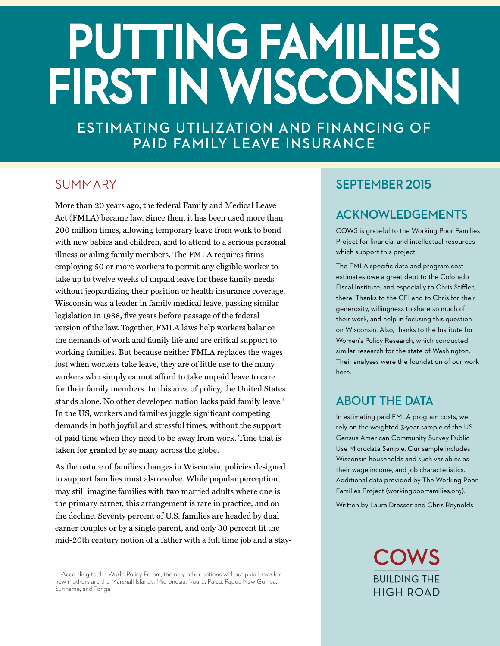# PUTTING FAMILIES **FIRST IN WISCONSIN**

**ESTIMATING UTILIZATION AND FINANCING OF PAID FAMILY LEAVE INSURANCE**

# SUMMARY

More than 20 years ago, the federal Family and Medical Leave Act (FMLA) became law. Since then, it has been used more than 200 million times, allowing temporary leave from work to bond with new babies and children, and to attend to a serious personal illness or ailing family members. The FMLA requires firms employing 50 or more workers to permit any eligible worker to take up to twelve weeks of unpaid leave for these family needs without jeopardizing their position or health insurance coverage. Wisconsin was a leader in family medical leave, passing similar legislation in 1988, five years before passage of the federal version of the law. Together, FMLA laws help workers balance the demands of work and family life and are critical support to working families. But because neither FMLA replaces the wages lost when workers take leave, they are of little use to the many workers who simply cannot afford to take unpaid leave to care for their family members. In this area of policy, the United States stands alone. No other developed nation lacks paid family leave.<sup>1</sup> In the US, workers and families juggle significant competing demands in both joyful and stressful times, without the support of paid time when they need to be away from work. Time that is taken for granted by so many across the globe.

As the nature of families changes in Wisconsin, policies designed to support families must also evolve. While popular perception may still imagine families with two married adults where one is the primary earner, this arrangement is rare in practice, and on the decline. Seventy percent of U.S. families are headed by dual earner couples or by a single parent, and only 30 percent fit the mid-20th century notion of a father with a full time job and a stay-

## **SEPTEMBER 2015**

# **ACKNOWLEDGEMENTS**

COWS is grateful to the Working Poor Families Project for financial and intellectual resources which support this project.

The FMLA specific data and program cost estimates owe a great debt to the Colorado Fiscal Institute, and especially to Chris Stiffler, there. Thanks to the CFI and to Chris for their generosity, willingness to share so much of their work, and help in focusing this question on Wisconsin. Also, thanks to the Institute for Women's Policy Research, which conducted similar research for the state of Washington. Their analyses were the foundation of our work here.

# **ABOUT THE DATA**

In estimating paid FMLA program costs, we rely on the weighted 3-year sample of the US Census American Community Survey Public Use Microdata Sample. Our sample includes Wisconsin households and such variables as their wage income, and job characteristics. Additional data provided by The Working Poor Families Project (workingpoorfamilies.org).

Written by Laura Dresser and Chris Reynolds

**COWS BUILDING THE HIGH ROAD** 

<sup>1</sup> According to the World Policy Forum, the only other nations without paid leave for new mothers are the Marshall Islands, Micronesia, Nauru, Palau, Papua New Guinea, Suriname, and Tonga.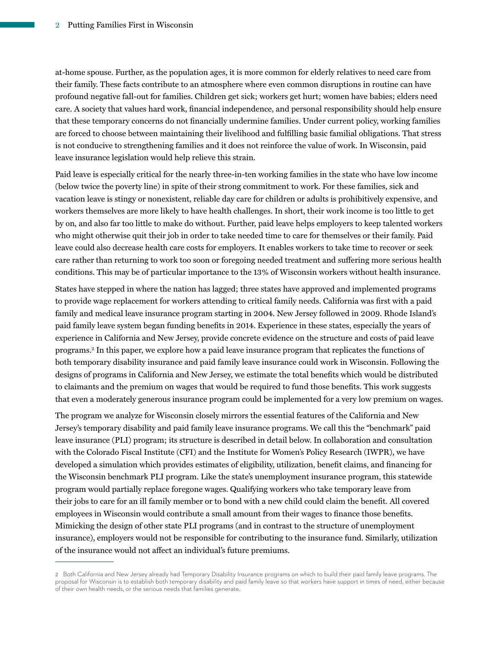at-home spouse. Further, as the population ages, it is more common for elderly relatives to need care from their family. These facts contribute to an atmosphere where even common disruptions in routine can have profound negative fall-out for families. Children get sick; workers get hurt; women have babies; elders need care. A society that values hard work, financial independence, and personal responsibility should help ensure that these temporary concerns do not financially undermine families. Under current policy, working families are forced to choose between maintaining their livelihood and fulfilling basic familial obligations. That stress is not conducive to strengthening families and it does not reinforce the value of work. In Wisconsin, paid leave insurance legislation would help relieve this strain.

Paid leave is especially critical for the nearly three-in-ten working families in the state who have low income (below twice the poverty line) in spite of their strong commitment to work. For these families, sick and vacation leave is stingy or nonexistent, reliable day care for children or adults is prohibitively expensive, and workers themselves are more likely to have health challenges. In short, their work income is too little to get by on, and also far too little to make do without. Further, paid leave helps employers to keep talented workers who might otherwise quit their job in order to take needed time to care for themselves or their family. Paid leave could also decrease health care costs for employers. It enables workers to take time to recover or seek care rather than returning to work too soon or foregoing needed treatment and suffering more serious health conditions. This may be of particular importance to the 13% of Wisconsin workers without health insurance.

States have stepped in where the nation has lagged; three states have approved and implemented programs to provide wage replacement for workers attending to critical family needs. California was first with a paid family and medical leave insurance program starting in 2004. New Jersey followed in 2009. Rhode Island's paid family leave system began funding benefits in 2014. Experience in these states, especially the years of experience in California and New Jersey, provide concrete evidence on the structure and costs of paid leave programs.2 In this paper, we explore how a paid leave insurance program that replicates the functions of both temporary disability insurance and paid family leave insurance could work in Wisconsin. Following the designs of programs in California and New Jersey, we estimate the total benefits which would be distributed to claimants and the premium on wages that would be required to fund those benefits. This work suggests that even a moderately generous insurance program could be implemented for a very low premium on wages.

The program we analyze for Wisconsin closely mirrors the essential features of the California and New Jersey's temporary disability and paid family leave insurance programs. We call this the "benchmark" paid leave insurance (PLI) program; its structure is described in detail below. In collaboration and consultation with the Colorado Fiscal Institute (CFI) and the Institute for Women's Policy Research (IWPR), we have developed a simulation which provides estimates of eligibility, utilization, benefit claims, and financing for the Wisconsin benchmark PLI program. Like the state's unemployment insurance program, this statewide program would partially replace foregone wages. Qualifying workers who take temporary leave from their jobs to care for an ill family member or to bond with a new child could claim the benefit. All covered employees in Wisconsin would contribute a small amount from their wages to finance those benefits. Mimicking the design of other state PLI programs (and in contrast to the structure of unemployment insurance), employers would not be responsible for contributing to the insurance fund. Similarly, utilization of the insurance would not affect an individual's future premiums.

<sup>2</sup> Both California and New Jersey already had Temporary Disability Insurance programs on which to build their paid family leave programs. The proposal for Wisconsin is to establish both temporary disability and paid family leave so that workers have support in times of need, either because of their own health needs, or the serious needs that families generate.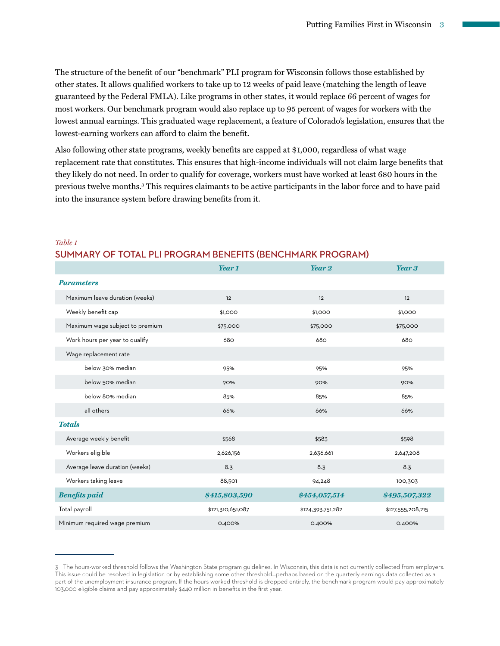The structure of the benefit of our "benchmark" PLI program for Wisconsin follows those established by other states. It allows qualified workers to take up to 12 weeks of paid leave (matching the length of leave guaranteed by the Federal FMLA). Like programs in other states, it would replace 66 percent of wages for most workers. Our benchmark program would also replace up to 95 percent of wages for workers with the lowest annual earnings. This graduated wage replacement, a feature of Colorado's legislation, ensures that the lowest-earning workers can afford to claim the benefit.

Also following other state programs, weekly benefits are capped at \$1,000, regardless of what wage replacement rate that constitutes. This ensures that high-income individuals will not claim large benefits that they likely do not need. In order to qualify for coverage, workers must have worked at least 680 hours in the previous twelve months.3 This requires claimants to be active participants in the labor force and to have paid into the insurance system before drawing benefits from it.

|                                 | Year 1            | Year 2            | Year 3            |
|---------------------------------|-------------------|-------------------|-------------------|
| <b>Parameters</b>               |                   |                   |                   |
| Maximum leave duration (weeks)  | 12                | 12                | 12                |
| Weekly benefit cap              | \$1,000           | \$1,000           | \$1,000           |
| Maximum wage subject to premium | \$75,000          | \$75,000          | \$75,000          |
| Work hours per year to qualify  | 680               | 680               | 680               |
| Wage replacement rate           |                   |                   |                   |
| below 30% median                | 95%               | 95%               | 95%               |
| below 50% median                | 90%               | 90%               | 90%               |
| below 80% median                | 85%               | 85%               | 85%               |
| all others                      | 66%               | 66%               | 66%               |
| <b>Totals</b>                   |                   |                   |                   |
| Average weekly benefit          | \$568             | \$583             | \$598             |
| Workers eligible                | 2,626,156         | 2,636,661         | 2,647,208         |
| Average leave duration (weeks)  | 8.3               | 8.3               | 8.3               |
| Workers taking leave            | 88,501            | 94,248            | 100,303           |
| <b>Benefits paid</b>            | \$415,803,590     | \$454,057,514     | \$495,507,322     |
| Total payroll                   | \$121,310,651,087 | \$124,393,751,282 | \$127,555,208,215 |
| Minimum required wage premium   | 0.400%            | 0.400%            | 0.400%            |

#### *Table 1* **SUMMARY OF TOTAL PLI PROGRAM BENEFITS (BENCHMARK PROGRAM)**

<sup>3</sup> The hours-worked threshold follows the Washington State program guidelines. In Wisconsin, this data is not currently collected from employers. This issue could be resolved in legislation or by establishing some other threshold–perhaps based on the quarterly earnings data collected as a part of the unemployment insurance program. If the hours-worked threshold is dropped entirely, the benchmark program would pay approximately 103,000 eligible claims and pay approximately \$440 million in benefits in the first year.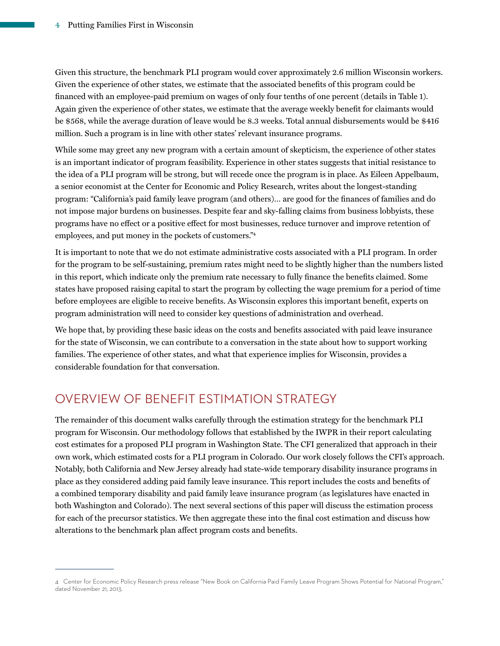Given this structure, the benchmark PLI program would cover approximately 2.6 million Wisconsin workers. Given the experience of other states, we estimate that the associated benefits of this program could be financed with an employee-paid premium on wages of only four tenths of one percent (details in Table 1). Again given the experience of other states, we estimate that the average weekly benefit for claimants would be \$568, while the average duration of leave would be 8.3 weeks. Total annual disbursements would be \$416 million. Such a program is in line with other states' relevant insurance programs.

While some may greet any new program with a certain amount of skepticism, the experience of other states is an important indicator of program feasibility. Experience in other states suggests that initial resistance to the idea of a PLI program will be strong, but will recede once the program is in place. As Eileen Appelbaum, a senior economist at the Center for Economic and Policy Research, writes about the longest-standing program: "California's paid family leave program (and others)… are good for the finances of families and do not impose major burdens on businesses. Despite fear and sky-falling claims from business lobbyists, these programs have no effect or a positive effect for most businesses, reduce turnover and improve retention of employees, and put money in the pockets of customers."4

It is important to note that we do not estimate administrative costs associated with a PLI program. In order for the program to be self-sustaining, premium rates might need to be slightly higher than the numbers listed in this report, which indicate only the premium rate necessary to fully finance the benefits claimed. Some states have proposed raising capital to start the program by collecting the wage premium for a period of time before employees are eligible to receive benefits. As Wisconsin explores this important benefit, experts on program administration will need to consider key questions of administration and overhead.

We hope that, by providing these basic ideas on the costs and benefits associated with paid leave insurance for the state of Wisconsin, we can contribute to a conversation in the state about how to support working families. The experience of other states, and what that experience implies for Wisconsin, provides a considerable foundation for that conversation.

# OVERVIEW OF BENEFIT ESTIMATION STRATEGY

The remainder of this document walks carefully through the estimation strategy for the benchmark PLI program for Wisconsin. Our methodology follows that established by the IWPR in their report calculating cost estimates for a proposed PLI program in Washington State. The CFI generalized that approach in their own work, which estimated costs for a PLI program in Colorado. Our work closely follows the CFI's approach. Notably, both California and New Jersey already had state-wide temporary disability insurance programs in place as they considered adding paid family leave insurance. This report includes the costs and benefits of a combined temporary disability and paid family leave insurance program (as legislatures have enacted in both Washington and Colorado). The next several sections of this paper will discuss the estimation process for each of the precursor statistics. We then aggregate these into the final cost estimation and discuss how alterations to the benchmark plan affect program costs and benefits.

<sup>4</sup> Center for Economic Policy Research press release "New Book on California Paid Family Leave Program Shows Potential for National Program," dated November 21, 2013.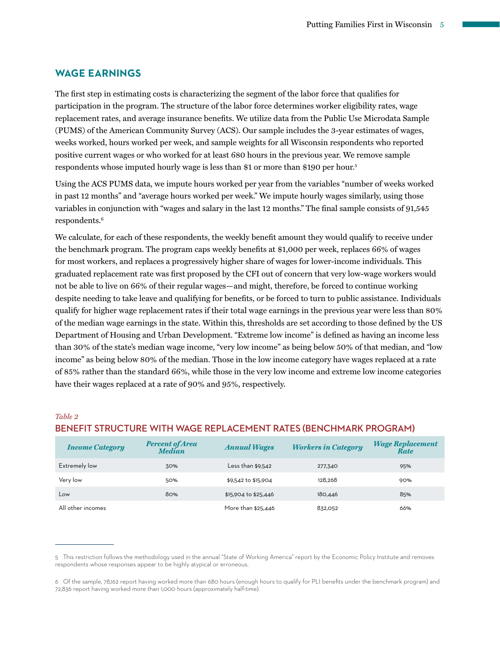#### **WAGE EARNINGS**

The first step in estimating costs is characterizing the segment of the labor force that qualifies for participation in the program. The structure of the labor force determines worker eligibility rates, wage replacement rates, and average insurance benefits. We utilize data from the Public Use Microdata Sample (PUMS) of the American Community Survey (ACS). Our sample includes the 3-year estimates of wages, weeks worked, hours worked per week, and sample weights for all Wisconsin respondents who reported positive current wages or who worked for at least 680 hours in the previous year. We remove sample respondents whose imputed hourly wage is less than \$1 or more than \$190 per hour.<sup>5</sup>

Using the ACS PUMS data, we impute hours worked per year from the variables "number of weeks worked in past 12 months" and "average hours worked per week." We impute hourly wages similarly, using those variables in conjunction with "wages and salary in the last 12 months." The final sample consists of 91,545 respondents.6

We calculate, for each of these respondents, the weekly benefit amount they would qualify to receive under the benchmark program. The program caps weekly benefits at \$1,000 per week, replaces 66% of wages for most workers, and replaces a progressively higher share of wages for lower-income individuals. This graduated replacement rate was first proposed by the CFI out of concern that very low-wage workers would not be able to live on 66% of their regular wages—and might, therefore, be forced to continue working despite needing to take leave and qualifying for benefits, or be forced to turn to public assistance. Individuals qualify for higher wage replacement rates if their total wage earnings in the previous year were less than 80% of the median wage earnings in the state. Within this, thresholds are set according to those defined by the US Department of Housing and Urban Development. "Extreme low income" is defined as having an income less than 30% of the state's median wage income, "very low income" as being below 50% of that median, and "low income" as being below 80% of the median. Those in the low income category have wages replaced at a rate of 85% rather than the standard 66%, while those in the very low income and extreme low income categories have their wages replaced at a rate of 90% and 95%, respectively.

#### *Table 2*

| <b>Income Category</b> | <b>Percent of Area</b><br><b>Median</b> | <b>Annual Wages</b>  | <b>Workers in Category</b> | <b>Wage Replacement</b><br>Rate |
|------------------------|-----------------------------------------|----------------------|----------------------------|---------------------------------|
| Extremely low          | 30%                                     | Less than $$9,542$   | 277,340                    | 95%                             |
| Very low               | 50%                                     | \$9,542 to \$15,904  | 128.268                    | 90%                             |
| Low                    | 80%                                     | \$15,904 to \$25,446 | 180,446                    | 85%                             |
| All other incomes      |                                         | More than \$25,446   | 832,052                    | 66%                             |

#### **BENEFIT STRUCTURE WITH WAGE REPLACEMENT RATES (BENCHMARK PROGRAM)**

<sup>5</sup> This restriction follows the methodology used in the annual "State of Working America" report by the Economic Policy Institute and removes respondents whose responses appear to be highly atypical or erroneous.

<sup>6</sup> Of the sample, 78,162 report having worked more than 680 hours (enough hours to qualify for PLI benefits under the benchmark program) and 72,836 report having worked more than 1,000 hours (approximately half-time).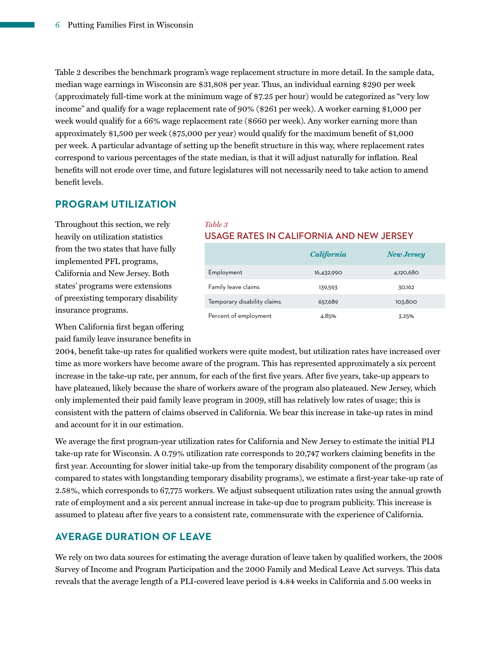Table 2 describes the benchmark program's wage replacement structure in more detail. In the sample data, median wage earnings in Wisconsin are \$31,808 per year. Thus, an individual earning \$290 per week (approximately full-time work at the minimum wage of \$7.25 per hour) would be categorized as "very low income" and qualify for a wage replacement rate of 90% (\$261 per week). A worker earning \$1,000 per week would qualify for a 66% wage replacement rate (\$660 per week). Any worker earning more than approximately \$1,500 per week (\$75,000 per year) would qualify for the maximum benefit of \$1,000 per week. A particular advantage of setting up the benefit structure in this way, where replacement rates correspond to various percentages of the state median, is that it will adjust naturally for inflation. Real benefits will not erode over time, and future legislatures will not necessarily need to take action to amend benefit levels.

## **PROGRAM UTILIZATION**

Throughout this section, we rely heavily on utilization statistics from the two states that have fully implemented PFL programs, California and New Jersey. Both states' programs were extensions of preexisting temporary disability insurance programs.

#### *Table 3* **USAGE RATES IN CALIFORNIA AND NEW JERSEY**

|                             | <i>California</i> | <b>New Jersey</b> |
|-----------------------------|-------------------|-------------------|
| Employment                  | 16,432,990        | 4,120,680         |
| Family leave claims         | 139.593           | 30,162            |
| Temporary disability claims | 657,689           | 103,800           |
| Percent of employment       | 4.85%             | 3.25%             |

When California first began offering paid family leave insurance benefits in

2004, benefit take-up rates for qualified workers were quite modest, but utilization rates have increased over time as more workers have become aware of the program. This has represented approximately a six percent increase in the take-up rate, per annum, for each of the first five years. After five years, take-up appears to have plateaued, likely because the share of workers aware of the program also plateaued. New Jersey, which only implemented their paid family leave program in 2009, still has relatively low rates of usage; this is consistent with the pattern of claims observed in California. We bear this increase in take-up rates in mind and account for it in our estimation.

We average the first program-year utilization rates for California and New Jersey to estimate the initial PLI take-up rate for Wisconsin. A 0.79% utilization rate corresponds to 20,747 workers claiming benefits in the first year. Accounting for slower initial take-up from the temporary disability component of the program (as compared to states with longstanding temporary disability programs), we estimate a first-year take-up rate of 2.58%, which corresponds to 67,775 workers. We adjust subsequent utilization rates using the annual growth rate of employment and a six percent annual increase in take-up due to program publicity. This increase is assumed to plateau after five years to a consistent rate, commensurate with the experience of California.

## **AVERAGE DURATION OF LEAVE**

We rely on two data sources for estimating the average duration of leave taken by qualified workers, the 2008 Survey of Income and Program Participation and the 2000 Family and Medical Leave Act surveys. This data reveals that the average length of a PLI-covered leave period is 4.84 weeks in California and 5.00 weeks in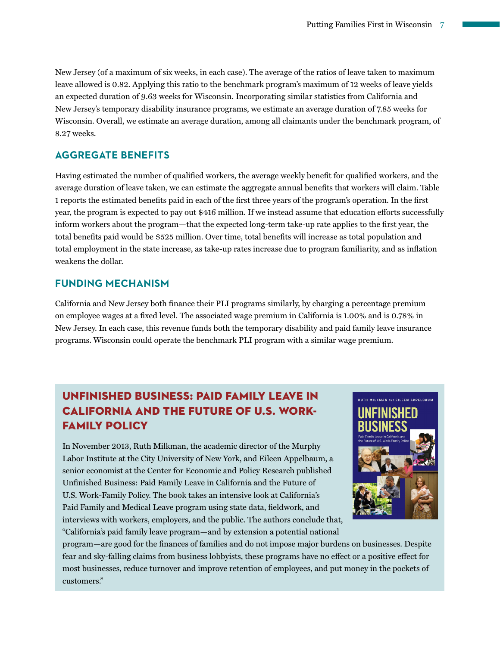New Jersey (of a maximum of six weeks, in each case). The average of the ratios of leave taken to maximum leave allowed is 0.82. Applying this ratio to the benchmark program's maximum of 12 weeks of leave yields an expected duration of 9.63 weeks for Wisconsin. Incorporating similar statistics from California and New Jersey's temporary disability insurance programs, we estimate an average duration of 7.85 weeks for Wisconsin. Overall, we estimate an average duration, among all claimants under the benchmark program, of 8.27 weeks.

## **AGGREGATE BENEFITS**

Having estimated the number of qualified workers, the average weekly benefit for qualified workers, and the average duration of leave taken, we can estimate the aggregate annual benefits that workers will claim. Table 1 reports the estimated benefits paid in each of the first three years of the program's operation. In the first year, the program is expected to pay out \$416 million. If we instead assume that education efforts successfully inform workers about the program—that the expected long-term take-up rate applies to the first year, the total benefits paid would be \$525 million. Over time, total benefits will increase as total population and total employment in the state increase, as take-up rates increase due to program familiarity, and as inflation weakens the dollar.

#### **FUNDING MECHANISM**

California and New Jersey both finance their PLI programs similarly, by charging a percentage premium on employee wages at a fixed level. The associated wage premium in California is 1.00% and is 0.78% in New Jersey. In each case, this revenue funds both the temporary disability and paid family leave insurance programs. Wisconsin could operate the benchmark PLI program with a similar wage premium.

# UNFINISHED BUSINESS: PAID FAMILY LEAVE IN CALIFORNIA AND THE FUTURE OF U.S. WORK-FAMILY POLICY

In November 2013, Ruth Milkman, the academic director of the Murphy Labor Institute at the City University of New York, and Eileen Appelbaum, a senior economist at the Center for Economic and Policy Research published Unfinished Business: Paid Family Leave in California and the Future of U.S. Work-Family Policy. The book takes an intensive look at California's Paid Family and Medical Leave program using state data, fieldwork, and interviews with workers, employers, and the public. The authors conclude that, "California's paid family leave program—and by extension a potential national



program—are good for the finances of families and do not impose major burdens on businesses. Despite fear and sky-falling claims from business lobbyists, these programs have no effect or a positive effect for most businesses, reduce turnover and improve retention of employees, and put money in the pockets of customers."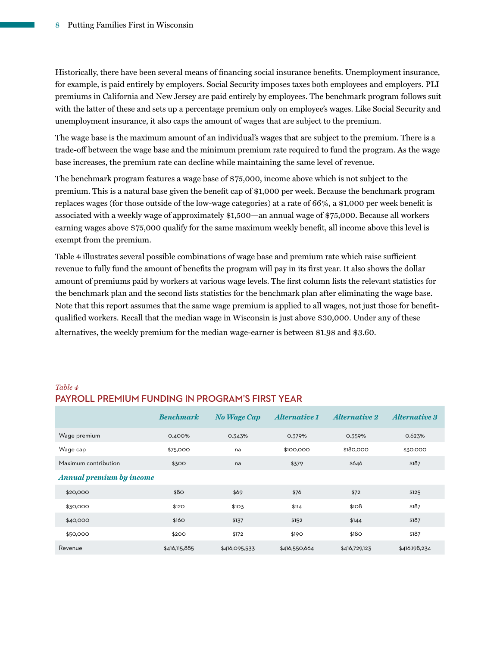Historically, there have been several means of financing social insurance benefits. Unemployment insurance, for example, is paid entirely by employers. Social Security imposes taxes both employees and employers. PLI premiums in California and New Jersey are paid entirely by employees. The benchmark program follows suit with the latter of these and sets up a percentage premium only on employee's wages. Like Social Security and unemployment insurance, it also caps the amount of wages that are subject to the premium.

The wage base is the maximum amount of an individual's wages that are subject to the premium. There is a trade-off between the wage base and the minimum premium rate required to fund the program. As the wage base increases, the premium rate can decline while maintaining the same level of revenue.

The benchmark program features a wage base of \$75,000, income above which is not subject to the premium. This is a natural base given the benefit cap of \$1,000 per week. Because the benchmark program replaces wages (for those outside of the low-wage categories) at a rate of 66%, a \$1,000 per week benefit is associated with a weekly wage of approximately \$1,500—an annual wage of \$75,000. Because all workers earning wages above \$75,000 qualify for the same maximum weekly benefit, all income above this level is exempt from the premium.

Table 4 illustrates several possible combinations of wage base and premium rate which raise sufficient revenue to fully fund the amount of benefits the program will pay in its first year. It also shows the dollar amount of premiums paid by workers at various wage levels. The first column lists the relevant statistics for the benchmark plan and the second lists statistics for the benchmark plan after eliminating the wage base. Note that this report assumes that the same wage premium is applied to all wages, not just those for benefitqualified workers. Recall that the median wage in Wisconsin is just above \$30,000. Under any of these alternatives, the weekly premium for the median wage-earner is between \$1.98 and \$3.60.

*Table 4*

## **PAYROLL PREMIUM FUNDING IN PROGRAM'S FIRST YEAR**

|                                 | <b>Benchmark</b> | <b>No Wage Cap</b> | <b>Alternative 1</b> | <b>Alternative 2</b> | <b>Alternative 3</b> |
|---------------------------------|------------------|--------------------|----------------------|----------------------|----------------------|
| Wage premium                    | 0.400%           | 0.343%             | 0.379%               | 0.359%               | 0.623%               |
| Wage cap                        | \$75,000         | na                 | \$100,000            | \$180,000            | \$30,000             |
| Maximum contribution            | \$300            | na                 | \$379                | \$646                | \$187                |
| <b>Annual premium by income</b> |                  |                    |                      |                      |                      |
| \$20,000                        | \$80             | \$69               | \$76                 | \$72                 | \$125                |
| \$30,000                        | \$120            | \$103              | \$114                | \$1O8                | \$187                |
| \$40,000                        | \$160            | \$137              | \$152                | \$144                | \$187                |
| \$50,000                        | \$200            | \$172              | \$190                | \$180                | \$187                |
| Revenue                         | \$416,115,885    | \$416,095,533      | \$416,550,664        | \$416,729,123        | \$416,198,234        |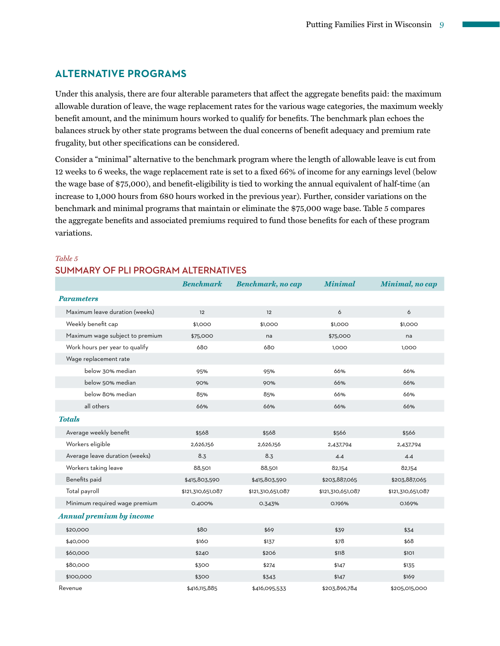## **ALTERNATIVE PROGRAMS**

Under this analysis, there are four alterable parameters that affect the aggregate benefits paid: the maximum allowable duration of leave, the wage replacement rates for the various wage categories, the maximum weekly benefit amount, and the minimum hours worked to qualify for benefits. The benchmark plan echoes the balances struck by other state programs between the dual concerns of benefit adequacy and premium rate frugality, but other specifications can be considered.

Consider a "minimal" alternative to the benchmark program where the length of allowable leave is cut from 12 weeks to 6 weeks, the wage replacement rate is set to a fixed 66% of income for any earnings level (below the wage base of \$75,000), and benefit-eligibility is tied to working the annual equivalent of half-time (an increase to 1,000 hours from 680 hours worked in the previous year). Further, consider variations on the benchmark and minimal programs that maintain or eliminate the \$75,000 wage base. Table 5 compares the aggregate benefits and associated premiums required to fund those benefits for each of these program variations.

### *Table 5* **SUMMARY OF PLI PROGRAM ALTERNATIVES**

|                                 | <b>Benchmark</b>  | <b>Benchmark, no cap</b> | <b>Minimal</b>    | Minimal, no cap   |
|---------------------------------|-------------------|--------------------------|-------------------|-------------------|
| <b>Parameters</b>               |                   |                          |                   |                   |
| Maximum leave duration (weeks)  | 12                | 12                       | 6                 | 6                 |
| Weekly benefit cap              | \$1,000           | \$1,000                  | \$1,000           | \$1,000           |
| Maximum wage subject to premium | \$75,000          | na                       | \$75,000          | na                |
| Work hours per year to qualify  | 680               | 680                      | 1,000             | 1,000             |
| Wage replacement rate           |                   |                          |                   |                   |
| below 30% median                | 95%               | 95%                      | 66%               | 66%               |
| below 50% median                | 90%               | 90%                      | 66%               | 66%               |
| below 80% median                | 85%               | 85%                      | 66%               | 66%               |
| all others                      | 66%               | 66%                      | 66%               | 66%               |
| <b>Totals</b>                   |                   |                          |                   |                   |
| Average weekly benefit          | \$568             | \$568                    | \$566             | \$566             |
| Workers eligible                | 2,626,156         | 2,626,156                | 2,437,794         | 2,437,794         |
| Average leave duration (weeks)  | 8.3               | 8.3                      | 4.4               | 4.4               |
| Workers taking leave            | 88,501            | 88,501                   | 82,154            | 82,154            |
| Benefits paid                   | \$415,803,590     | \$415,803,590            | \$203,887,065     | \$203,887,065     |
| Total payroll                   | \$121,310,651,087 | \$121,310,651,087        | \$121,310,651,087 | \$121,310,651,087 |
| Minimum required wage premium   | 0.400%            | 0.343%                   | 0.196%            | 0.169%            |
| <b>Annual premium by income</b> |                   |                          |                   |                   |
| \$20,000                        | \$80              | \$69                     | \$39              | \$34              |
| \$40,000                        | \$160             | \$137                    | \$78              | \$68              |
| \$60,000                        | \$240             | \$206                    | \$118             | \$1O1             |
| \$80,000                        | \$300             | \$274                    | \$147             | \$135             |
| \$100,000                       | \$300             | \$343                    | \$147             | \$169             |
| Revenue                         | \$416,115,885     | \$416,095,533            | \$203,896,784     | \$205,015,000     |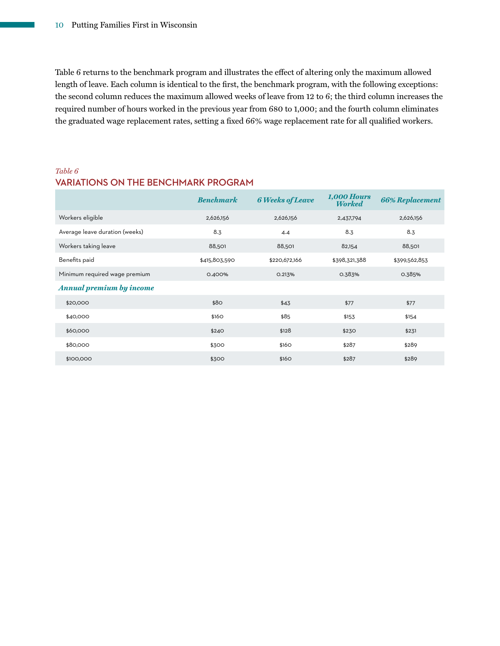Table 6 returns to the benchmark program and illustrates the effect of altering only the maximum allowed length of leave. Each column is identical to the first, the benchmark program, with the following exceptions: the second column reduces the maximum allowed weeks of leave from 12 to 6; the third column increases the required number of hours worked in the previous year from 680 to 1,000; and the fourth column eliminates the graduated wage replacement rates, setting a fixed 66% wage replacement rate for all qualified workers.

#### *Table 6*

## **VARIATIONS ON THE BENCHMARK PROGRAM**

|                                 | <b>Benchmark</b> | <b>6 Weeks of Leave</b> | <b>1,000 Hours</b><br><b>Worked</b> | <b>66% Replacement</b> |
|---------------------------------|------------------|-------------------------|-------------------------------------|------------------------|
| Workers eligible                | 2,626,156        | 2,626,156               | 2,437,794                           | 2,626,156              |
| Average leave duration (weeks)  | 8.3              | 4.4                     | 8.3                                 | 8.3                    |
| Workers taking leave            | 88,501           | 88,501                  | 82,154                              | 88,501                 |
| Benefits paid                   | \$415,803,590    | \$220,672,166           | \$398,321,388                       | \$399,562,853          |
| Minimum required wage premium   | 0.400%           | 0.213%                  | 0.383%                              | 0.385%                 |
| <b>Annual premium by income</b> |                  |                         |                                     |                        |
| \$20,000                        | \$80             | \$43                    | \$77                                | \$77                   |
| \$40,000                        | \$160            | \$85                    | \$153                               | \$154                  |
| \$60,000                        | \$240            | \$128                   | \$230                               | \$231                  |
| \$80,000                        | \$300            | \$160                   | \$287                               | \$289                  |
| \$100,000                       | \$300            | \$160                   | \$287                               | \$289                  |